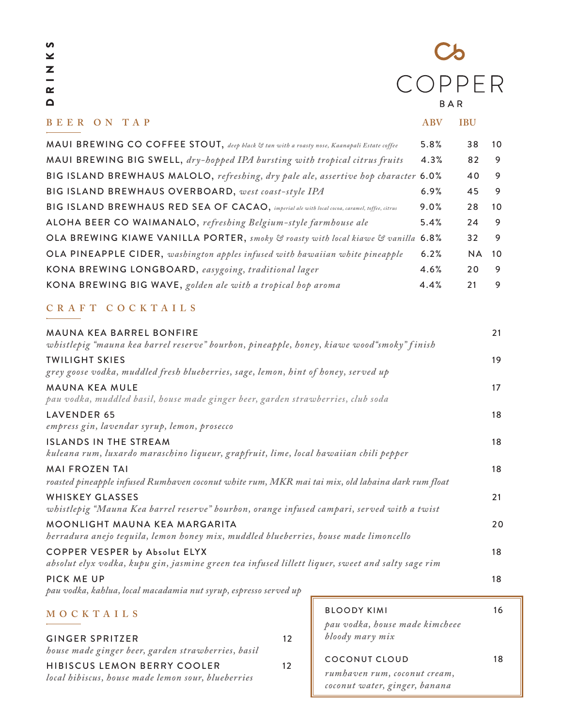| n       |
|---------|
| ¥       |
| z<br>۳. |
|         |
| œ       |
| Q       |

# $\mathcal{C}$ COPPER BAR

| BEER ON TAP                                                                                  | <b>ABV</b> | <b>IBU</b> |     |
|----------------------------------------------------------------------------------------------|------------|------------|-----|
| MAUI BREWING CO COFFEE STOUT, deep black & tan with a roasty nose, Kaanapali Estate coffee   | 5.8%       | 38         | 10  |
| MAUI BREWING BIG SWELL, dry-hopped IPA bursting with tropical citrus fruits                  | 4.3%       | 82         | 9   |
| BIG ISLAND BREWHAUS MALOLO, refreshing, dry pale ale, assertive hop character 6.0%           |            | 40         | 9   |
| BIG ISLAND BREWHAUS OVERBOARD, west coast-style IPA                                          | 6.9%       | 45         | 9   |
| BIG ISLAND BREWHAUS RED SEA OF CACAO, imperial ale with local cocoa, caramel, toffee, citrus | 9.0%       | 28         | 10  |
| ALOHA BEER CO WAIMANALO, refreshing Belgium-style farmhouse ale                              | 5.4%       | 24         | 9   |
| OLA BREWING KIAWE VANILLA PORTER, smoky & roasty with local kiawe & vanilla 6.8%             |            | 32         | 9   |
| OLA PINEAPPLE CIDER, washington apples infused with hawaiian white pineapple                 | 6.2%       | <b>NA</b>  | -10 |
| KONA BREWING LONGBOARD, easygoing, traditional lager                                         | 4.6%       | 20         | 9   |
| KONA BREWING BIG WAVE, golden ale with a tropical hop aroma                                  | 4.4%       | 21         | 9   |
|                                                                                              |            |            |     |

### **CR AFT COCKTAILS**

| <b>MAUNA KEA BARREL BONFIRE</b>                                                                   | 21 |
|---------------------------------------------------------------------------------------------------|----|
| whistlepig "mauna kea barrel reserve" bourbon, pineapple, honey, kiawe wood "smoky" finish        |    |
| <b>TWILIGHT SKIES</b>                                                                             | 19 |
| grey goose vodka, muddled fresh blueberries, sage, lemon, hint of honey, served up                |    |
| <b>MAUNA KEA MULE</b>                                                                             | 17 |
| pau vodka, muddled basil, house made ginger beer, garden strawberries, club soda                  |    |
| LAVENDER 65                                                                                       | 18 |
| empress gin, lavendar syrup, lemon, prosecco                                                      |    |
| <b>ISLANDS IN THE STREAM</b>                                                                      | 18 |
| kuleana rum, luxardo maraschino liqueur, grapfruit, lime, local hawaiian chili pepper             |    |
| <b>MAI FROZEN TAI</b>                                                                             | 18 |
| roasted pineapple infused Rumhaven coconut white rum, MKR mai tai mix, old lahaina dark rum float |    |
| <b>WHISKEY GLASSES</b>                                                                            | 21 |
| whistlepig "Mauna Kea barrel reserve" bourbon, orange infused campari, served with a twist        |    |
| MOONLIGHT MAUNA KEA MARGARITA                                                                     | 20 |
| herradura anejo tequila, lemon honey mix, muddled blueberries, house made limoncello              |    |
| <b>COPPER VESPER by Absolut ELYX</b>                                                              | 18 |
| absolut elyx vodka, kupu gin, jasmine green tea infused lillett liquer, sweet and salty sage rim  |    |
| PICK ME UP                                                                                        | 18 |

*pau vodka, kahlua, local macadamia nut syrup, espresso served up*

### **MOCKTAILS**

| <b>GINGER SPRITZER</b><br>house made ginger beer, garden strawberries, basil             | 12 |
|------------------------------------------------------------------------------------------|----|
| <b>HIBISCUS LEMON BERRY COOLER</b><br>local hibiscus, house made lemon sour, blueberries | 12 |

| <b>BLOODY KIMI</b><br>pau vodka, house made kimcheee<br>bloody mary mix | 16 |
|-------------------------------------------------------------------------|----|
| COCONUT CLOUD                                                           | 18 |
| rumhaven rum, coconut cream,<br>coconut water, ginger, banana           |    |